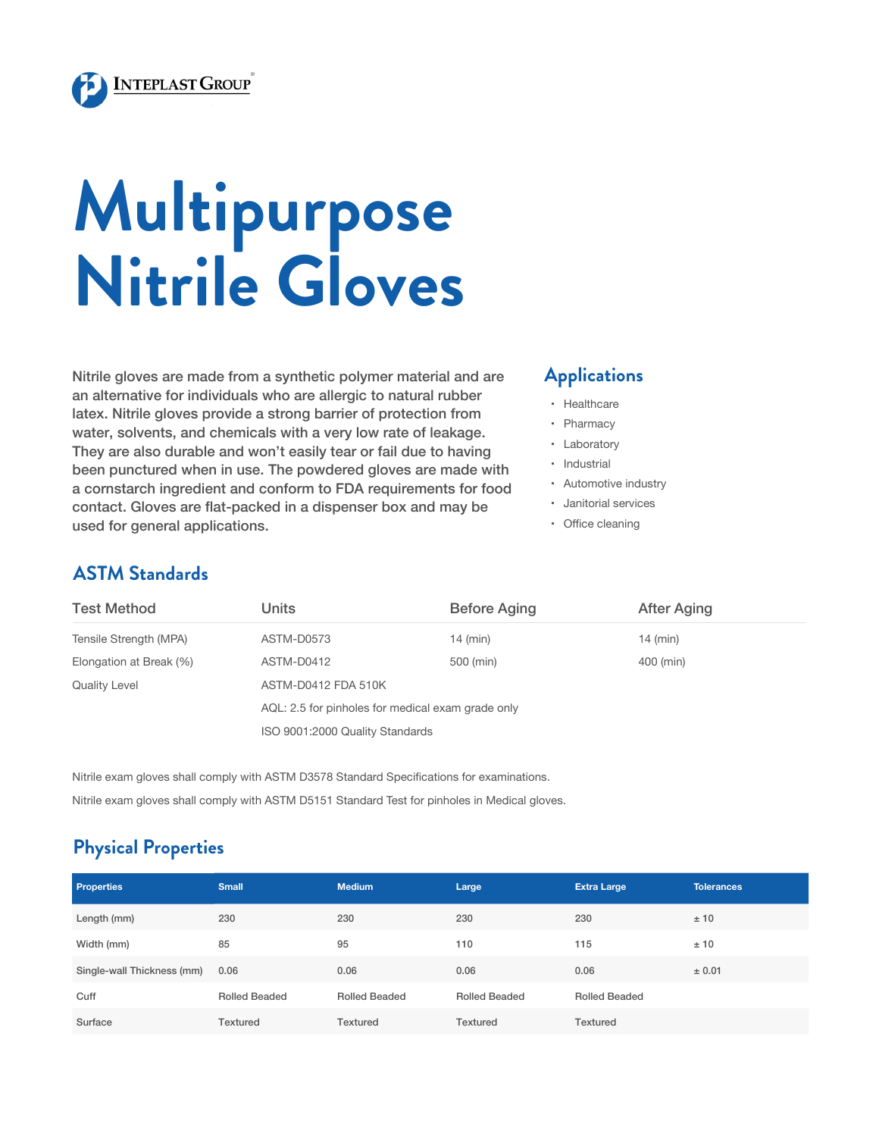

# **Multipurpose Nitrile Gloves**

Nitrile gloves are made from a synthetic polymer material and are an alternative for individuals who are allergic to natural rubber latex. Nitrile gloves provide a strong barrier of protection from water, solvents, and chemicals with a very low rate of leakage. They are also durable and won't easily tear or fail due to having been punctured when in use. The powdered gloves are made with a cornstarch ingredient and conform to FDA requirements for food contact. Gloves are flat-packed in a dispenser box and may be used for general applications.

#### **Applications**

- • Healthcare
- • Pharmacy
- • Laboratory
- • Industrial
- • Automotive industry
- • Janitorial services
- • Office cleaning

#### **ASTM Standards**

| <b>Test Method</b>      | Units                                             | <b>Before Aging</b> | After Aging |  |  |  |
|-------------------------|---------------------------------------------------|---------------------|-------------|--|--|--|
| Tensile Strength (MPA)  | ASTM-D0573                                        | $14$ (min)          | $14$ (min)  |  |  |  |
| Elongation at Break (%) | ASTM-D0412                                        | 500 (min)           | 400 (min)   |  |  |  |
| <b>Quality Level</b>    | ASTM-D0412 FDA 510K                               |                     |             |  |  |  |
|                         | AQL: 2.5 for pinholes for medical exam grade only |                     |             |  |  |  |
|                         | ISO 9001:2000 Quality Standards                   |                     |             |  |  |  |

Nitrile exam gloves shall comply with ASTM D3578 Standard Specifications for examinations. Nitrile exam gloves shall comply with ASTM D5151 Standard Test for pinholes in Medical gloves.

#### **Physical Properties**

| <b>Properties</b>          | <b>Small</b>         | <b>Medium</b>        | Large                | <b>Extra Large</b>   | <b>Tolerances</b> |
|----------------------------|----------------------|----------------------|----------------------|----------------------|-------------------|
| Length (mm)                | 230                  | 230                  | 230                  | 230                  | ±10               |
| Width (mm)                 | 85                   | 95                   | 110                  | 115                  | ±10               |
| Single-wall Thickness (mm) | 0.06                 | 0.06                 | 0.06                 | 0.06                 | ± 0.01            |
| Cuff                       | <b>Rolled Beaded</b> | <b>Rolled Beaded</b> | <b>Rolled Beaded</b> | <b>Rolled Beaded</b> |                   |
| Surface                    | Textured             | <b>Textured</b>      | <b>Textured</b>      | Textured             |                   |